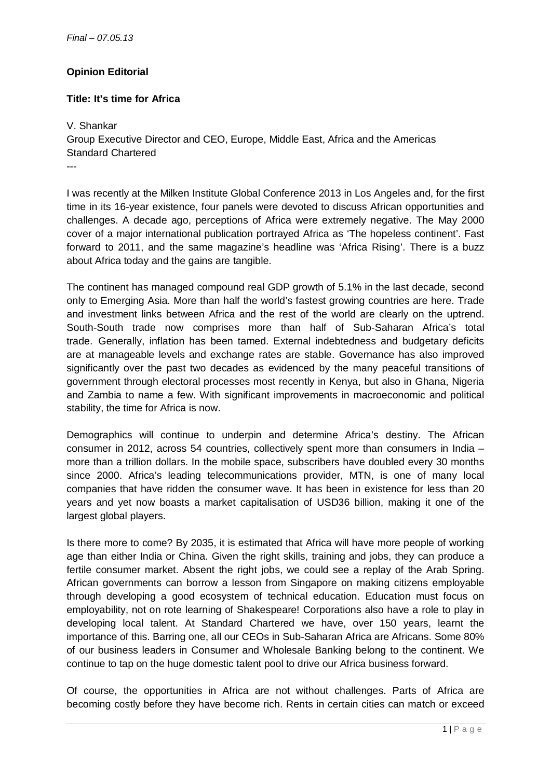## **Opinion Editorial**

## **Title: It's time for Africa**

V. Shankar Group Executive Director and CEO, Europe, Middle East, Africa and the Americas Standard Chartered ---

I was recently at the Milken Institute Global Conference 2013 in Los Angeles and, for the first time in its 16-year existence, four panels were devoted to discuss African opportunities and challenges. A decade ago, perceptions of Africa were extremely negative. The May 2000 cover of a major international publication portrayed Africa as 'The hopeless continent'. Fast forward to 2011, and the same magazine's headline was 'Africa Rising'. There is a buzz about Africa today and the gains are tangible.

The continent has managed compound real GDP growth of 5.1% in the last decade, second only to Emerging Asia. More than half the world's fastest growing countries are here. Trade and investment links between Africa and the rest of the world are clearly on the uptrend. South-South trade now comprises more than half of Sub-Saharan Africa's total trade. Generally, inflation has been tamed. External indebtedness and budgetary deficits are at manageable levels and exchange rates are stable. Governance has also improved significantly over the past two decades as evidenced by the many peaceful transitions of government through electoral processes most recently in Kenya, but also in Ghana, Nigeria and Zambia to name a few. With significant improvements in macroeconomic and political stability, the time for Africa is now.

Demographics will continue to underpin and determine Africa's destiny. The African consumer in 2012, across 54 countries, collectively spent more than consumers in India – more than a trillion dollars. In the mobile space, subscribers have doubled every 30 months since 2000. Africa's leading telecommunications provider, MTN, is one of many local companies that have ridden the consumer wave. It has been in existence for less than 20 years and yet now boasts a market capitalisation of USD36 billion, making it one of the largest global players.

Is there more to come? By 2035, it is estimated that Africa will have more people of working age than either India or China. Given the right skills, training and jobs, they can produce a fertile consumer market. Absent the right jobs, we could see a replay of the Arab Spring. African governments can borrow a lesson from Singapore on making citizens employable through developing a good ecosystem of technical education. Education must focus on employability, not on rote learning of Shakespeare! Corporations also have a role to play in developing local talent. At Standard Chartered we have, over 150 years, learnt the importance of this. Barring one, all our CEOs in Sub-Saharan Africa are Africans. Some 80% of our business leaders in Consumer and Wholesale Banking belong to the continent. We continue to tap on the huge domestic talent pool to drive our Africa business forward.

Of course, the opportunities in Africa are not without challenges. Parts of Africa are becoming costly before they have become rich. Rents in certain cities can match or exceed